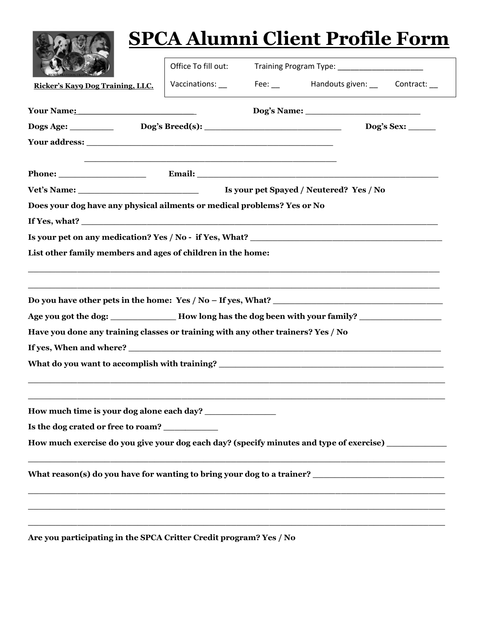|                                                                                                                                                                                                                                                                      |                                                                                                                       |                                                | <b>SPCA Alumni Client Profile Form</b>       |  |  |
|----------------------------------------------------------------------------------------------------------------------------------------------------------------------------------------------------------------------------------------------------------------------|-----------------------------------------------------------------------------------------------------------------------|------------------------------------------------|----------------------------------------------|--|--|
|                                                                                                                                                                                                                                                                      | Office To fill out:                                                                                                   | Training Program Type: _______________________ |                                              |  |  |
| Ricker's Kayo Dog Training, LLC.                                                                                                                                                                                                                                     |                                                                                                                       |                                                | Vaccinations: Fee: Handouts given: Contract: |  |  |
| Your Name:                                                                                                                                                                                                                                                           |                                                                                                                       |                                                |                                              |  |  |
|                                                                                                                                                                                                                                                                      |                                                                                                                       |                                                |                                              |  |  |
|                                                                                                                                                                                                                                                                      |                                                                                                                       |                                                |                                              |  |  |
| Phone: <u>Email: Email: Email: Email: Email: Email: Email: Email: Email: Email: Email: Email: Email: Email: Email: Email: Email: Email: Email: Email: Email: Email: Email: Email: Email: Email: Email: Email: Email: Email: Emai</u>                                 | <u> 1989 - Johann Harry Harry Harry Harry Harry Harry Harry Harry Harry Harry Harry Harry Harry Harry Harry Harry</u> |                                                |                                              |  |  |
|                                                                                                                                                                                                                                                                      |                                                                                                                       |                                                |                                              |  |  |
| Does your dog have any physical ailments or medical problems? Yes or No                                                                                                                                                                                              |                                                                                                                       |                                                |                                              |  |  |
|                                                                                                                                                                                                                                                                      |                                                                                                                       |                                                |                                              |  |  |
| Is your pet on any medication? Yes / No - if Yes, What?                                                                                                                                                                                                              |                                                                                                                       |                                                |                                              |  |  |
| List other family members and ages of children in the home:                                                                                                                                                                                                          |                                                                                                                       |                                                |                                              |  |  |
| Do you have other pets in the home: $Yes / No - If yes, What?$<br>Age you got the dog: ___________________How long has the dog been with your family? __________________________<br>Have you done any training classes or training with any other trainers? Yes / No |                                                                                                                       |                                                |                                              |  |  |
| Is the dog crated or free to roam?<br>How much exercise do you give your dog each day? (specify minutes and type of exercise)                                                                                                                                        |                                                                                                                       |                                                |                                              |  |  |
| What reason(s) do you have for wanting to bring your dog to a trainer? _____________________________                                                                                                                                                                 |                                                                                                                       |                                                |                                              |  |  |
| Are you participating in the SPCA Critter Credit program? Yes / No                                                                                                                                                                                                   |                                                                                                                       |                                                |                                              |  |  |